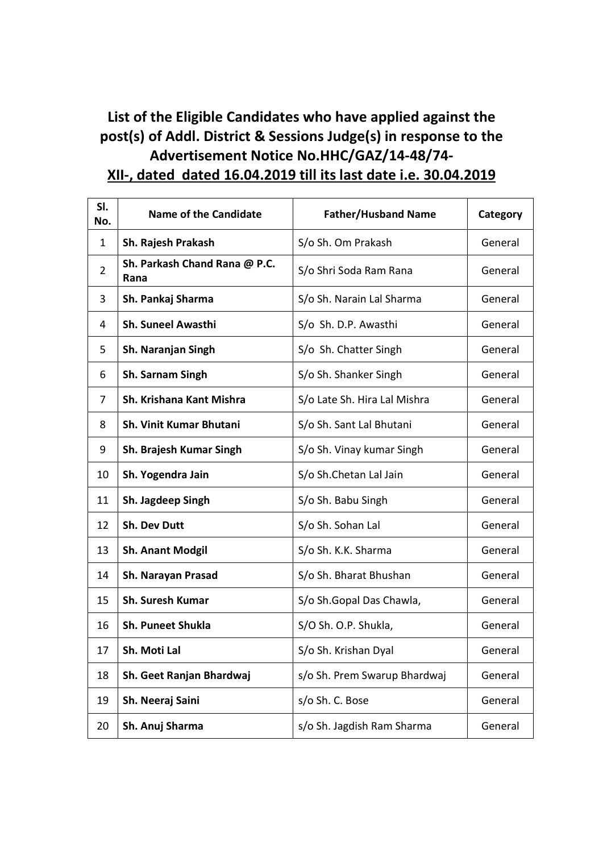## **List of the Eligible Candidates who have applied against the post(s) of Addl. District & Sessions Judge(s) in response to the Advertisement Notice No.HHC/GAZ/14-48/74- XII-, dated dated 16.04.2019 till its last date i.e. 30.04.2019**

| SI.<br>No.     | <b>Name of the Candidate</b>          | <b>Father/Husband Name</b>   | Category |
|----------------|---------------------------------------|------------------------------|----------|
| $\mathbf{1}$   | Sh. Rajesh Prakash                    | S/o Sh. Om Prakash           | General  |
| $\overline{2}$ | Sh. Parkash Chand Rana @ P.C.<br>Rana | S/o Shri Soda Ram Rana       | General  |
| 3              | Sh. Pankaj Sharma                     | S/o Sh. Narain Lal Sharma    | General  |
| 4              | Sh. Suneel Awasthi                    | S/o Sh. D.P. Awasthi         | General  |
| 5              | Sh. Naranjan Singh                    | S/o Sh. Chatter Singh        | General  |
| 6              | Sh. Sarnam Singh                      | S/o Sh. Shanker Singh        | General  |
| 7              | Sh. Krishana Kant Mishra              | S/o Late Sh. Hira Lal Mishra | General  |
| 8              | <b>Sh. Vinit Kumar Bhutani</b>        | S/o Sh. Sant Lal Bhutani     | General  |
| 9              | Sh. Brajesh Kumar Singh               | S/o Sh. Vinay kumar Singh    | General  |
| 10             | Sh. Yogendra Jain                     | S/o Sh.Chetan Lal Jain       | General  |
| 11             | Sh. Jagdeep Singh                     | S/o Sh. Babu Singh           | General  |
| 12             | <b>Sh. Dev Dutt</b>                   | S/o Sh. Sohan Lal            | General  |
| 13             | <b>Sh. Anant Modgil</b>               | S/o Sh. K.K. Sharma          | General  |
| 14             | Sh. Narayan Prasad                    | S/o Sh. Bharat Bhushan       | General  |
| 15             | <b>Sh. Suresh Kumar</b>               | S/o Sh.Gopal Das Chawla,     | General  |
| 16             | <b>Sh. Puneet Shukla</b>              | S/O Sh. O.P. Shukla,         | General  |
| 17             | Sh. Moti Lal                          | S/o Sh. Krishan Dyal         | General  |
| 18             | Sh. Geet Ranjan Bhardwaj              | s/o Sh. Prem Swarup Bhardwaj | General  |
| 19             | Sh. Neeraj Saini                      | s/o Sh. C. Bose              | General  |
| 20             | Sh. Anuj Sharma                       | s/o Sh. Jagdish Ram Sharma   | General  |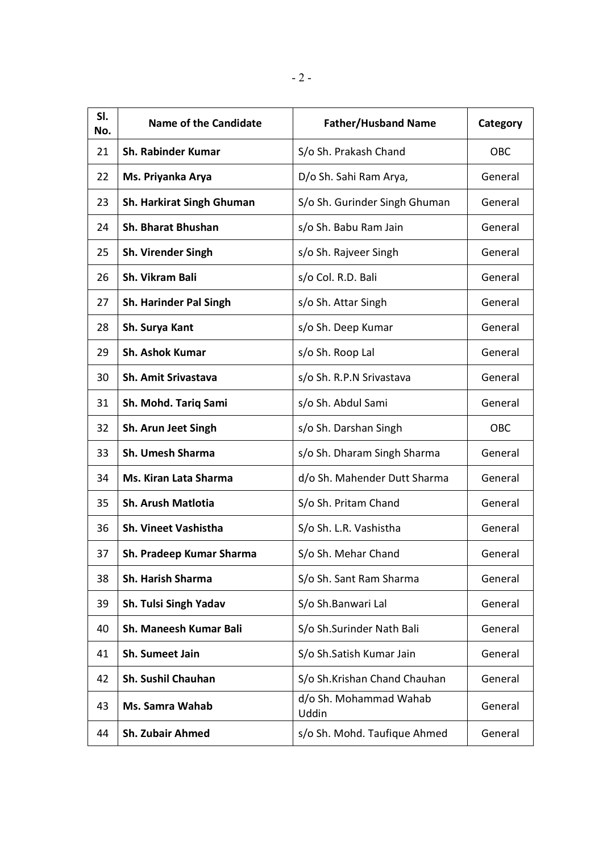| SI.<br>No. | <b>Name of the Candidate</b>  | <b>Father/Husband Name</b>      | Category |
|------------|-------------------------------|---------------------------------|----------|
| 21         | <b>Sh. Rabinder Kumar</b>     | S/o Sh. Prakash Chand           | OBC      |
| 22         | Ms. Priyanka Arya             | D/o Sh. Sahi Ram Arya,          | General  |
| 23         | Sh. Harkirat Singh Ghuman     | S/o Sh. Gurinder Singh Ghuman   | General  |
| 24         | <b>Sh. Bharat Bhushan</b>     | s/o Sh. Babu Ram Jain           | General  |
| 25         | <b>Sh. Virender Singh</b>     | s/o Sh. Rajveer Singh           | General  |
| 26         | Sh. Vikram Bali               | s/o Col. R.D. Bali              | General  |
| 27         | <b>Sh. Harinder Pal Singh</b> | s/o Sh. Attar Singh             | General  |
| 28         | Sh. Surya Kant                | s/o Sh. Deep Kumar              | General  |
| 29         | <b>Sh. Ashok Kumar</b>        | s/o Sh. Roop Lal                | General  |
| 30         | Sh. Amit Srivastava           | s/o Sh. R.P.N Srivastava        | General  |
| 31         | Sh. Mohd. Tariq Sami          | s/o Sh. Abdul Sami              | General  |
| 32         | Sh. Arun Jeet Singh           | s/o Sh. Darshan Singh           | OBC      |
| 33         | <b>Sh. Umesh Sharma</b>       | s/o Sh. Dharam Singh Sharma     | General  |
| 34         | Ms. Kiran Lata Sharma         | d/o Sh. Mahender Dutt Sharma    | General  |
| 35         | <b>Sh. Arush Matlotia</b>     | S/o Sh. Pritam Chand            | General  |
| 36         | <b>Sh. Vineet Vashistha</b>   | S/o Sh. L.R. Vashistha          | General  |
| 37         | Sh. Pradeep Kumar Sharma      | S/o Sh. Mehar Chand             | General  |
| 38         | <b>Sh. Harish Sharma</b>      | S/o Sh. Sant Ram Sharma         | General  |
| 39         | Sh. Tulsi Singh Yadav         | S/o Sh.Banwari Lal              | General  |
| 40         | <b>Sh. Maneesh Kumar Bali</b> | S/o Sh.Surinder Nath Bali       | General  |
| 41         | Sh. Sumeet Jain               | S/o Sh.Satish Kumar Jain        | General  |
| 42         | Sh. Sushil Chauhan            | S/o Sh.Krishan Chand Chauhan    | General  |
| 43         | <b>Ms. Samra Wahab</b>        | d/o Sh. Mohammad Wahab<br>Uddin | General  |
| 44         | <b>Sh. Zubair Ahmed</b>       | s/o Sh. Mohd. Taufique Ahmed    | General  |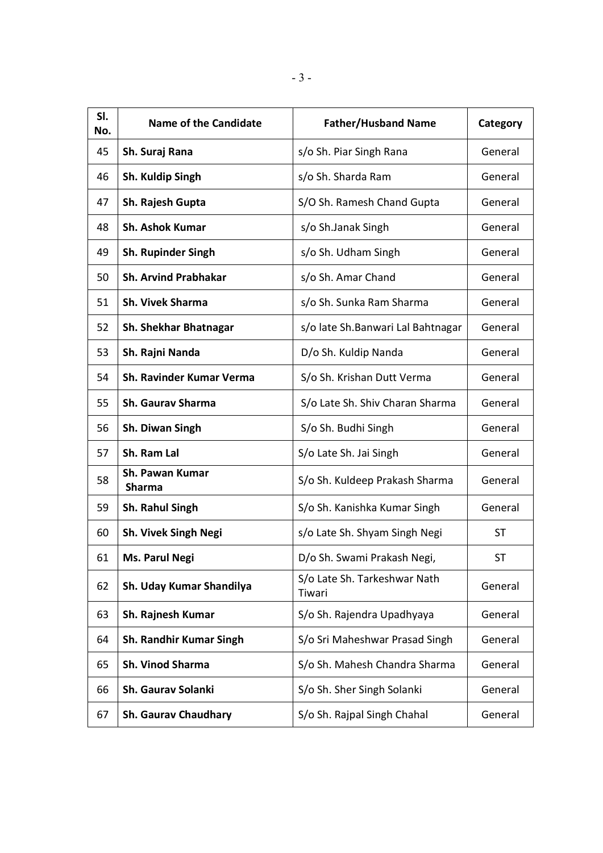| SI.<br>No. | <b>Name of the Candidate</b>     | <b>Father/Husband Name</b>             | Category  |
|------------|----------------------------------|----------------------------------------|-----------|
| 45         | Sh. Suraj Rana                   | s/o Sh. Piar Singh Rana                | General   |
| 46         | Sh. Kuldip Singh                 | s/o Sh. Sharda Ram                     | General   |
| 47         | Sh. Rajesh Gupta                 | S/O Sh. Ramesh Chand Gupta             | General   |
| 48         | <b>Sh. Ashok Kumar</b>           | s/o Sh.Janak Singh                     | General   |
| 49         | <b>Sh. Rupinder Singh</b>        | s/o Sh. Udham Singh                    | General   |
| 50         | <b>Sh. Arvind Prabhakar</b>      | s/o Sh. Amar Chand                     | General   |
| 51         | <b>Sh. Vivek Sharma</b>          | s/o Sh. Sunka Ram Sharma               | General   |
| 52         | <b>Sh. Shekhar Bhatnagar</b>     | s/o late Sh.Banwari Lal Bahtnagar      | General   |
| 53         | Sh. Rajni Nanda                  | D/o Sh. Kuldip Nanda                   | General   |
| 54         | Sh. Ravinder Kumar Verma         | S/o Sh. Krishan Dutt Verma             | General   |
| 55         | <b>Sh. Gaurav Sharma</b>         | S/o Late Sh. Shiv Charan Sharma        | General   |
| 56         | Sh. Diwan Singh                  | S/o Sh. Budhi Singh                    | General   |
| 57         | Sh. Ram Lal                      | S/o Late Sh. Jai Singh                 | General   |
| 58         | Sh. Pawan Kumar<br><b>Sharma</b> | S/o Sh. Kuldeep Prakash Sharma         | General   |
| 59         | Sh. Rahul Singh                  | S/o Sh. Kanishka Kumar Singh           | General   |
| 60         | <b>Sh. Vivek Singh Negi</b>      | s/o Late Sh. Shyam Singh Negi          | <b>ST</b> |
| 61         | <b>Ms. Parul Negi</b>            | D/o Sh. Swami Prakash Negi,            | ST        |
| 62         | Sh. Uday Kumar Shandilya         | S/o Late Sh. Tarkeshwar Nath<br>Tiwari | General   |
| 63         | Sh. Rajnesh Kumar                | S/o Sh. Rajendra Upadhyaya             | General   |
| 64         | <b>Sh. Randhir Kumar Singh</b>   | S/o Sri Maheshwar Prasad Singh         | General   |
| 65         | <b>Sh. Vinod Sharma</b>          | S/o Sh. Mahesh Chandra Sharma          | General   |
| 66         | <b>Sh. Gaurav Solanki</b>        | S/o Sh. Sher Singh Solanki             | General   |
| 67         | <b>Sh. Gaurav Chaudhary</b>      | S/o Sh. Rajpal Singh Chahal            | General   |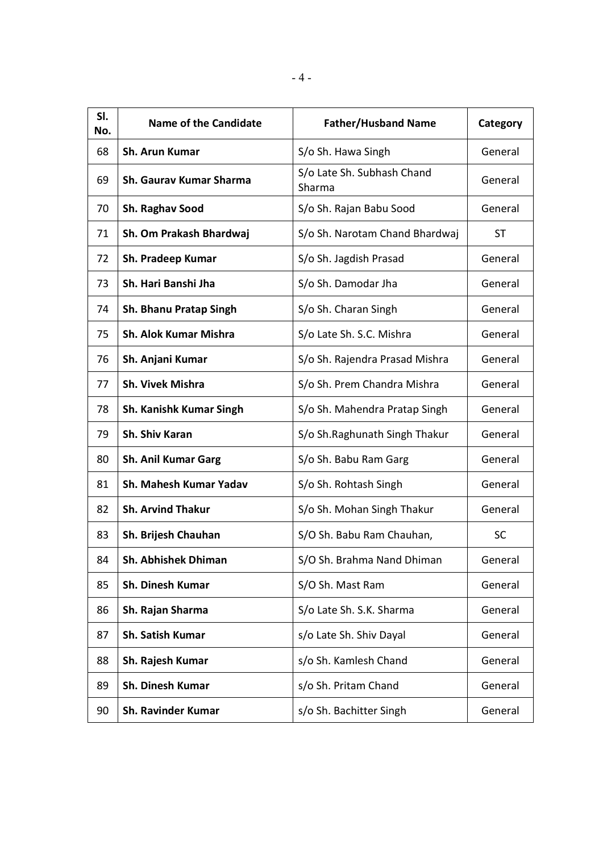| SI.<br>No. | <b>Name of the Candidate</b>   | <b>Father/Husband Name</b>           | Category  |
|------------|--------------------------------|--------------------------------------|-----------|
| 68         | Sh. Arun Kumar                 | S/o Sh. Hawa Singh                   | General   |
| 69         | <b>Sh. Gaurav Kumar Sharma</b> | S/o Late Sh. Subhash Chand<br>Sharma | General   |
| 70         | Sh. Raghav Sood                | S/o Sh. Rajan Babu Sood              | General   |
| 71         | Sh. Om Prakash Bhardwaj        | S/o Sh. Narotam Chand Bhardwaj       | <b>ST</b> |
| 72         | Sh. Pradeep Kumar              | S/o Sh. Jagdish Prasad               | General   |
| 73         | Sh. Hari Banshi Jha            | S/o Sh. Damodar Jha                  | General   |
| 74         | <b>Sh. Bhanu Pratap Singh</b>  | S/o Sh. Charan Singh                 | General   |
| 75         | <b>Sh. Alok Kumar Mishra</b>   | S/o Late Sh. S.C. Mishra             | General   |
| 76         | Sh. Anjani Kumar               | S/o Sh. Rajendra Prasad Mishra       | General   |
| 77         | <b>Sh. Vivek Mishra</b>        | S/o Sh. Prem Chandra Mishra          | General   |
| 78         | <b>Sh. Kanishk Kumar Singh</b> | S/o Sh. Mahendra Pratap Singh        | General   |
| 79         | Sh. Shiv Karan                 | S/o Sh.Raghunath Singh Thakur        | General   |
| 80         | <b>Sh. Anil Kumar Garg</b>     | S/o Sh. Babu Ram Garg                | General   |
| 81         | Sh. Mahesh Kumar Yadav         | S/o Sh. Rohtash Singh                | General   |
| 82         | <b>Sh. Arvind Thakur</b>       | S/o Sh. Mohan Singh Thakur           | General   |
| 83         | Sh. Brijesh Chauhan            | S/O Sh. Babu Ram Chauhan,            | <b>SC</b> |
| 84         | <b>Sh. Abhishek Dhiman</b>     | S/O Sh. Brahma Nand Dhiman           | General   |
| 85         | <b>Sh. Dinesh Kumar</b>        | S/O Sh. Mast Ram                     | General   |
| 86         | Sh. Rajan Sharma               | S/o Late Sh. S.K. Sharma             | General   |
| 87         | <b>Sh. Satish Kumar</b>        | s/o Late Sh. Shiv Dayal              | General   |
| 88         | Sh. Rajesh Kumar               | s/o Sh. Kamlesh Chand                | General   |
| 89         | <b>Sh. Dinesh Kumar</b>        | s/o Sh. Pritam Chand                 | General   |
| 90         | <b>Sh. Ravinder Kumar</b>      | s/o Sh. Bachitter Singh              | General   |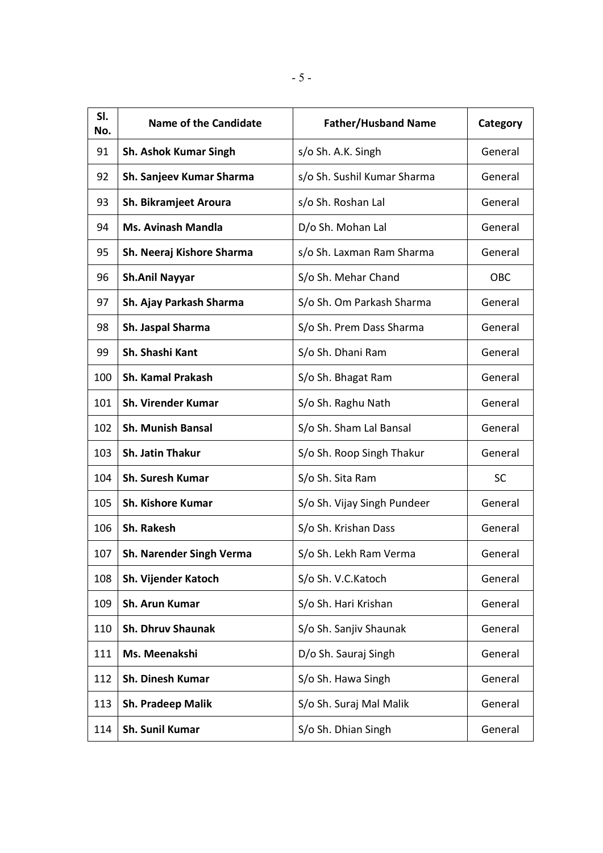| SI.<br>No. | <b>Name of the Candidate</b> | <b>Father/Husband Name</b>  | Category  |
|------------|------------------------------|-----------------------------|-----------|
| 91         | <b>Sh. Ashok Kumar Singh</b> | s/o Sh. A.K. Singh          | General   |
| 92         | Sh. Sanjeev Kumar Sharma     | s/o Sh. Sushil Kumar Sharma | General   |
| 93         | Sh. Bikramjeet Aroura        | s/o Sh. Roshan Lal          | General   |
| 94         | <b>Ms. Avinash Mandla</b>    | D/o Sh. Mohan Lal           | General   |
| 95         | Sh. Neeraj Kishore Sharma    | s/o Sh. Laxman Ram Sharma   | General   |
| 96         | <b>Sh.Anil Nayyar</b>        | S/o Sh. Mehar Chand         | OBC       |
| 97         | Sh. Ajay Parkash Sharma      | S/o Sh. Om Parkash Sharma   | General   |
| 98         | Sh. Jaspal Sharma            | S/o Sh. Prem Dass Sharma    | General   |
| 99         | Sh. Shashi Kant              | S/o Sh. Dhani Ram           | General   |
| 100        | <b>Sh. Kamal Prakash</b>     | S/o Sh. Bhagat Ram          | General   |
| 101        | <b>Sh. Virender Kumar</b>    | S/o Sh. Raghu Nath          | General   |
| 102        | <b>Sh. Munish Bansal</b>     | S/o Sh. Sham Lal Bansal     | General   |
| 103        | Sh. Jatin Thakur             | S/o Sh. Roop Singh Thakur   | General   |
| 104        | <b>Sh. Suresh Kumar</b>      | S/o Sh. Sita Ram            | <b>SC</b> |
| 105        | <b>Sh. Kishore Kumar</b>     | S/o Sh. Vijay Singh Pundeer | General   |
| 106        | Sh. Rakesh                   | S/o Sh. Krishan Dass        | General   |
| 107        | Sh. Narender Singh Verma     | S/o Sh. Lekh Ram Verma      | General   |
| 108        | Sh. Vijender Katoch          | S/o Sh. V.C.Katoch          | General   |
| 109        | Sh. Arun Kumar               | S/o Sh. Hari Krishan        | General   |
| 110        | <b>Sh. Dhruv Shaunak</b>     | S/o Sh. Sanjiv Shaunak      | General   |
| 111        | Ms. Meenakshi                | D/o Sh. Sauraj Singh        | General   |
| 112        | <b>Sh. Dinesh Kumar</b>      | S/o Sh. Hawa Singh          | General   |
| 113        | <b>Sh. Pradeep Malik</b>     | S/o Sh. Suraj Mal Malik     | General   |
| 114        | <b>Sh. Sunil Kumar</b>       | S/o Sh. Dhian Singh         | General   |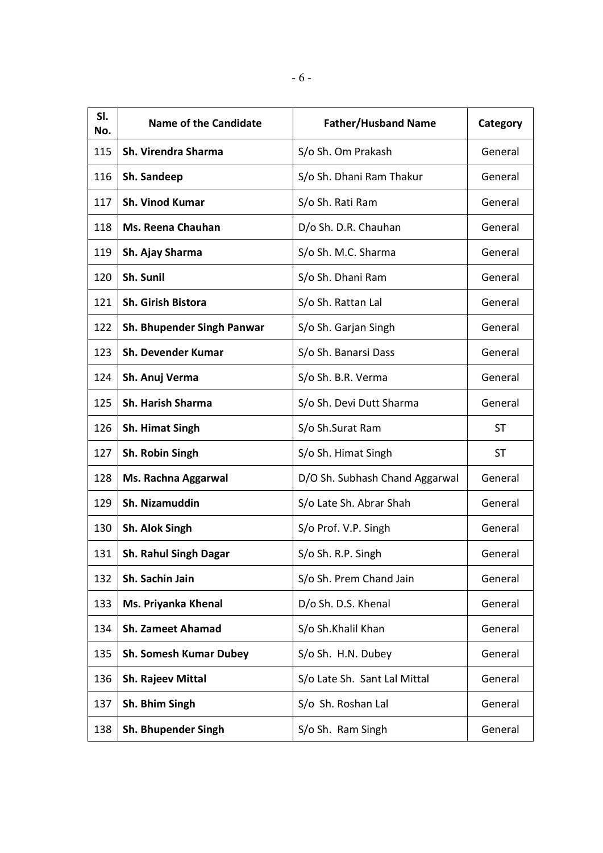| SI.<br>No. | <b>Name of the Candidate</b>  | <b>Father/Husband Name</b>     | Category  |
|------------|-------------------------------|--------------------------------|-----------|
| 115        | Sh. Virendra Sharma           | S/o Sh. Om Prakash             | General   |
| 116        | Sh. Sandeep                   | S/o Sh. Dhani Ram Thakur       | General   |
| 117        | <b>Sh. Vinod Kumar</b>        | S/o Sh. Rati Ram               | General   |
| 118        | <b>Ms. Reena Chauhan</b>      | D/o Sh. D.R. Chauhan           | General   |
| 119        | Sh. Ajay Sharma               | S/o Sh. M.C. Sharma            | General   |
| 120        | Sh. Sunil                     | S/o Sh. Dhani Ram              | General   |
| 121        | Sh. Girish Bistora            | S/o Sh. Rattan Lal             | General   |
| 122        | Sh. Bhupender Singh Panwar    | S/o Sh. Garjan Singh           | General   |
| 123        | <b>Sh. Devender Kumar</b>     | S/o Sh. Banarsi Dass           | General   |
| 124        | Sh. Anuj Verma                | S/o Sh. B.R. Verma             | General   |
| 125        | <b>Sh. Harish Sharma</b>      | S/o Sh. Devi Dutt Sharma       | General   |
| 126        | <b>Sh. Himat Singh</b>        | S/o Sh.Surat Ram               | ST        |
| 127        | Sh. Robin Singh               | S/o Sh. Himat Singh            | <b>ST</b> |
| 128        | Ms. Rachna Aggarwal           | D/O Sh. Subhash Chand Aggarwal | General   |
| 129        | Sh. Nizamuddin                | S/o Late Sh. Abrar Shah        | General   |
| 130        | Sh. Alok Singh                | S/o Prof. V.P. Singh           | General   |
| 131        | <b>Sh. Rahul Singh Dagar</b>  | S/o Sh. R.P. Singh             | General   |
| 132        | Sh. Sachin Jain               | S/o Sh. Prem Chand Jain        | General   |
| 133        | Ms. Priyanka Khenal           | D/o Sh. D.S. Khenal            | General   |
| 134        | <b>Sh. Zameet Ahamad</b>      | S/o Sh.Khalil Khan             | General   |
| 135        | <b>Sh. Somesh Kumar Dubey</b> | S/o Sh. H.N. Dubey             | General   |
| 136        | Sh. Rajeev Mittal             | S/o Late Sh. Sant Lal Mittal   | General   |
| 137        | Sh. Bhim Singh                | S/o Sh. Roshan Lal             | General   |
| 138        | Sh. Bhupender Singh           | S/o Sh. Ram Singh              | General   |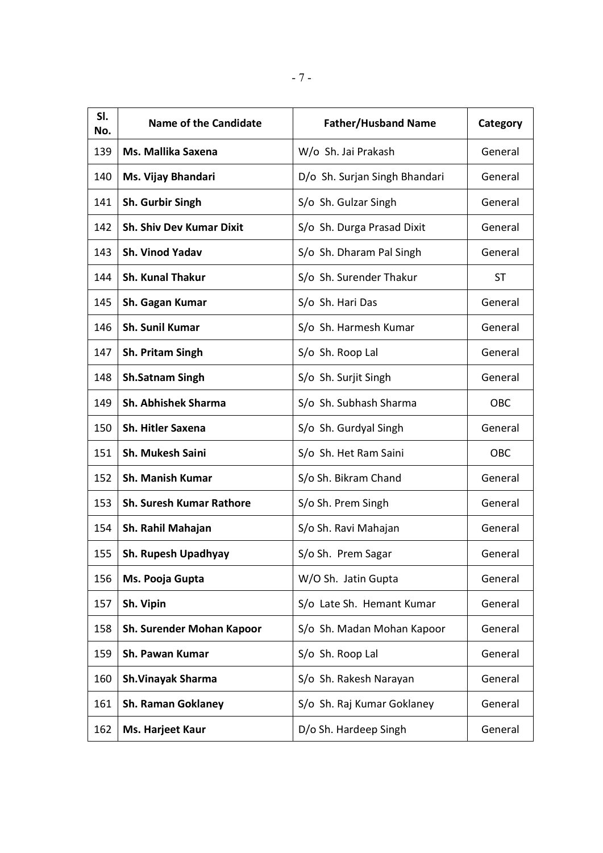| SI.<br>No. | <b>Name of the Candidate</b>    | <b>Father/Husband Name</b>    | Category   |
|------------|---------------------------------|-------------------------------|------------|
| 139        | Ms. Mallika Saxena              | W/o Sh. Jai Prakash           | General    |
| 140        | Ms. Vijay Bhandari              | D/o Sh. Surjan Singh Bhandari | General    |
| 141        | Sh. Gurbir Singh                | S/o Sh. Gulzar Singh          | General    |
| 142        | <b>Sh. Shiv Dev Kumar Dixit</b> | S/o Sh. Durga Prasad Dixit    | General    |
| 143        | <b>Sh. Vinod Yadav</b>          | S/o Sh. Dharam Pal Singh      | General    |
| 144        | <b>Sh. Kunal Thakur</b>         | S/o Sh. Surender Thakur       | <b>ST</b>  |
| 145        | Sh. Gagan Kumar                 | S/o Sh. Hari Das              | General    |
| 146        | <b>Sh. Sunil Kumar</b>          | S/o Sh. Harmesh Kumar         | General    |
| 147        | <b>Sh. Pritam Singh</b>         | S/o Sh. Roop Lal              | General    |
| 148        | <b>Sh.Satnam Singh</b>          | S/o Sh. Surjit Singh          | General    |
| 149        | <b>Sh. Abhishek Sharma</b>      | S/o Sh. Subhash Sharma        | <b>OBC</b> |
| 150        | <b>Sh. Hitler Saxena</b>        | S/o Sh. Gurdyal Singh         | General    |
| 151        | <b>Sh. Mukesh Saini</b>         | S/o Sh. Het Ram Saini         | <b>OBC</b> |
| 152        | <b>Sh. Manish Kumar</b>         | S/o Sh. Bikram Chand          | General    |
| 153        | <b>Sh. Suresh Kumar Rathore</b> | S/o Sh. Prem Singh            | General    |
| 154        | Sh. Rahil Mahajan               | S/o Sh. Ravi Mahajan          | General    |
| 155        | Sh. Rupesh Upadhyay             | S/o Sh. Prem Sagar            | General    |
| 156        | Ms. Pooja Gupta                 | W/O Sh. Jatin Gupta           | General    |
| 157        | Sh. Vipin                       | S/o Late Sh. Hemant Kumar     | General    |
| 158        | Sh. Surender Mohan Kapoor       | S/o Sh. Madan Mohan Kapoor    | General    |
| 159        | Sh. Pawan Kumar                 | S/o Sh. Roop Lal              | General    |
| 160        | <b>Sh.Vinayak Sharma</b>        | S/o Sh. Rakesh Narayan        | General    |
| 161        | <b>Sh. Raman Goklaney</b>       | S/o Sh. Raj Kumar Goklaney    | General    |
| 162        | Ms. Harjeet Kaur                | D/o Sh. Hardeep Singh         | General    |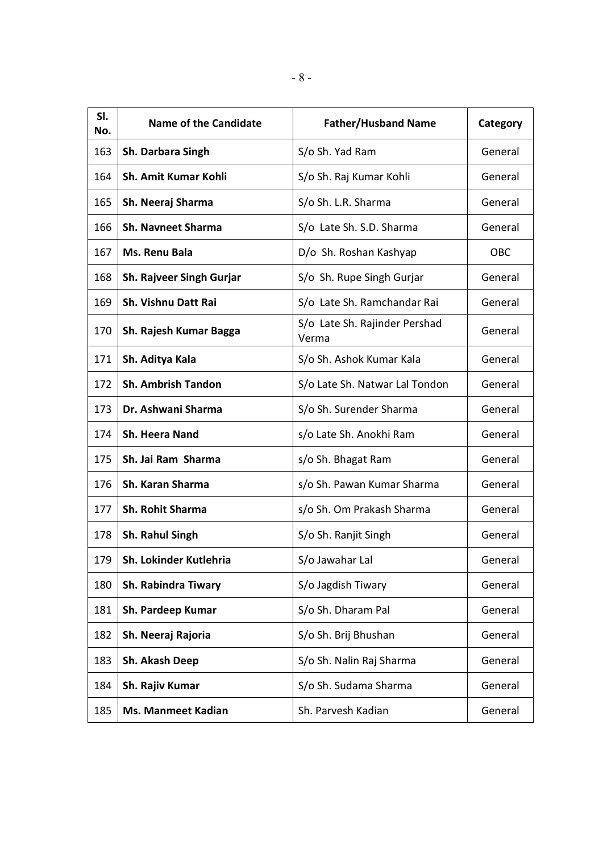| SI.<br>No. | <b>Name of the Candidate</b> | <b>Father/Husband Name</b>             | Category |
|------------|------------------------------|----------------------------------------|----------|
| 163        | Sh. Darbara Singh            | S/o Sh. Yad Ram                        | General  |
| 164        | <b>Sh. Amit Kumar Kohli</b>  | S/o Sh. Raj Kumar Kohli                | General  |
| 165        | Sh. Neeraj Sharma            | S/o Sh. L.R. Sharma                    | General  |
| 166        | <b>Sh. Navneet Sharma</b>    | S/o Late Sh. S.D. Sharma               | General  |
| 167        | Ms. Renu Bala                | D/o Sh. Roshan Kashyap                 | OBC      |
| 168        | Sh. Rajveer Singh Gurjar     | S/o Sh. Rupe Singh Gurjar              | General  |
| 169        | Sh. Vishnu Datt Rai          | S/o Late Sh. Ramchandar Rai            | General  |
| 170        | Sh. Rajesh Kumar Bagga       | S/o Late Sh. Rajinder Pershad<br>Verma | General  |
| 171        | Sh. Aditya Kala              | S/o Sh. Ashok Kumar Kala               | General  |
| 172        | <b>Sh. Ambrish Tandon</b>    | S/o Late Sh. Natwar Lal Tondon         | General  |
| 173        | Dr. Ashwani Sharma           | S/o Sh. Surender Sharma                | General  |
| 174        | <b>Sh. Heera Nand</b>        | s/o Late Sh. Anokhi Ram                | General  |
| 175        | Sh. Jai Ram Sharma           | s/o Sh. Bhagat Ram                     | General  |
| 176        | Sh. Karan Sharma             | s/o Sh. Pawan Kumar Sharma             | General  |
| 177        | <b>Sh. Rohit Sharma</b>      | s/o Sh. Om Prakash Sharma              | General  |
| 178        | Sh. Rahul Singh              | S/o Sh. Ranjit Singh                   | General  |
| 179        | Sh. Lokinder Kutlehria       | S/o Jawahar Lal                        | General  |
| 180        | <b>Sh. Rabindra Tiwary</b>   | S/o Jagdish Tiwary                     | General  |
| 181        | Sh. Pardeep Kumar            | S/o Sh. Dharam Pal                     | General  |
| 182        | Sh. Neeraj Rajoria           | S/o Sh. Brij Bhushan                   | General  |
| 183        | Sh. Akash Deep               | S/o Sh. Nalin Raj Sharma               | General  |
| 184        | Sh. Rajiv Kumar              | S/o Sh. Sudama Sharma                  | General  |
| 185        | <b>Ms. Manmeet Kadian</b>    | Sh. Parvesh Kadian                     | General  |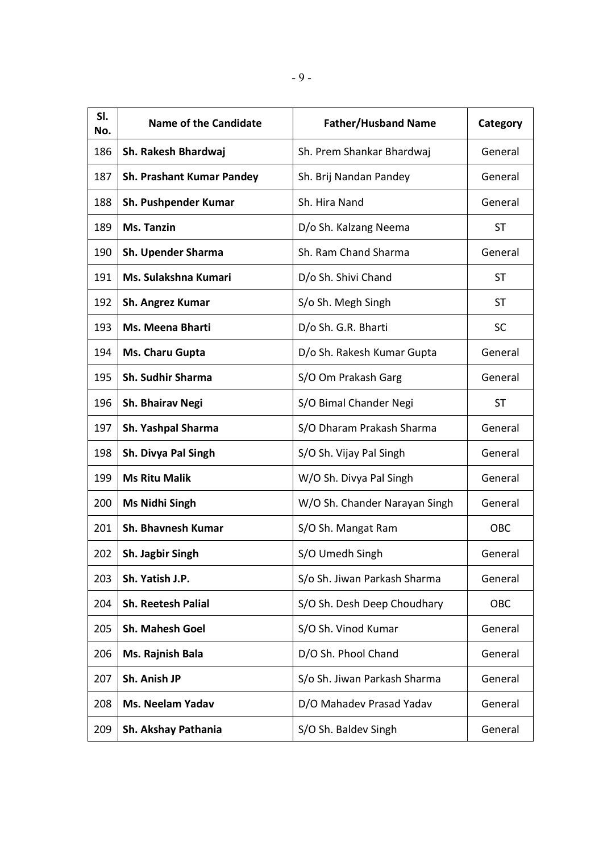| SI.<br>No. | <b>Name of the Candidate</b>     | <b>Father/Husband Name</b>    | Category   |
|------------|----------------------------------|-------------------------------|------------|
| 186        | Sh. Rakesh Bhardwaj              | Sh. Prem Shankar Bhardwaj     | General    |
| 187        | <b>Sh. Prashant Kumar Pandey</b> | Sh. Brij Nandan Pandey        | General    |
| 188        | Sh. Pushpender Kumar             | Sh. Hira Nand                 | General    |
| 189        | <b>Ms. Tanzin</b>                | D/o Sh. Kalzang Neema         | <b>ST</b>  |
| 190        | <b>Sh. Upender Sharma</b>        | Sh. Ram Chand Sharma          | General    |
| 191        | Ms. Sulakshna Kumari             | D/o Sh. Shivi Chand           | <b>ST</b>  |
| 192        | Sh. Angrez Kumar                 | S/o Sh. Megh Singh            | ST         |
| 193        | <b>Ms. Meena Bharti</b>          | D/o Sh. G.R. Bharti           | <b>SC</b>  |
| 194        | Ms. Charu Gupta                  | D/o Sh. Rakesh Kumar Gupta    | General    |
| 195        | <b>Sh. Sudhir Sharma</b>         | S/O Om Prakash Garg           | General    |
| 196        | Sh. Bhairav Negi                 | S/O Bimal Chander Negi        | ST         |
| 197        | Sh. Yashpal Sharma               | S/O Dharam Prakash Sharma     | General    |
| 198        | Sh. Divya Pal Singh              | S/O Sh. Vijay Pal Singh       | General    |
| 199        | <b>Ms Ritu Malik</b>             | W/O Sh. Divya Pal Singh       | General    |
| 200        | <b>Ms Nidhi Singh</b>            | W/O Sh. Chander Narayan Singh | General    |
| 201        | <b>Sh. Bhavnesh Kumar</b>        | S/O Sh. Mangat Ram            | OBC        |
| 202        | Sh. Jagbir Singh                 | S/O Umedh Singh               | General    |
| 203        | Sh. Yatish J.P.                  | S/o Sh. Jiwan Parkash Sharma  | General    |
| 204        | <b>Sh. Reetesh Palial</b>        | S/O Sh. Desh Deep Choudhary   | <b>OBC</b> |
| 205        | <b>Sh. Mahesh Goel</b>           | S/O Sh. Vinod Kumar           | General    |
| 206        | Ms. Rajnish Bala                 | D/O Sh. Phool Chand           | General    |
| 207        | Sh. Anish JP                     | S/o Sh. Jiwan Parkash Sharma  | General    |
| 208        | <b>Ms. Neelam Yadav</b>          | D/O Mahadev Prasad Yadav      | General    |
| 209        | Sh. Akshay Pathania              | S/O Sh. Baldev Singh          | General    |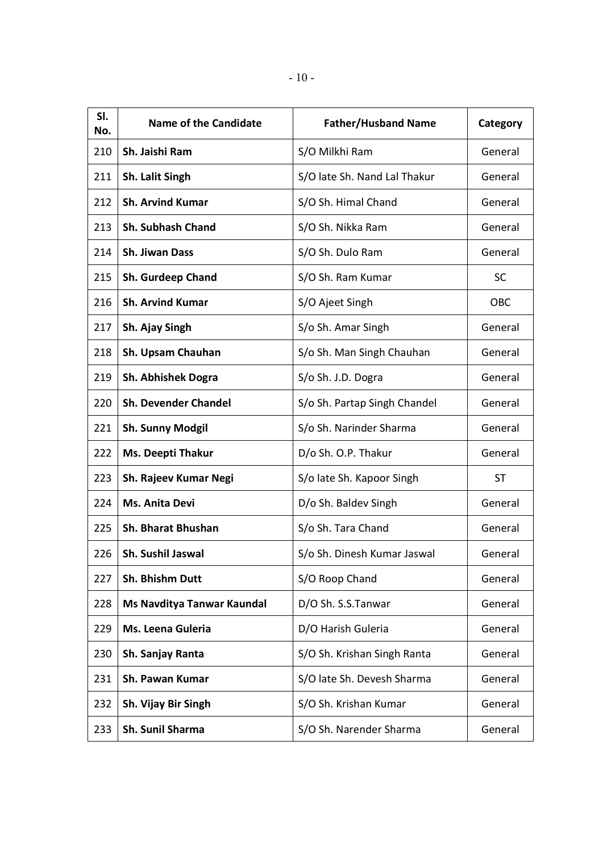| SI.<br>No. | <b>Name of the Candidate</b> | <b>Father/Husband Name</b>   | Category   |
|------------|------------------------------|------------------------------|------------|
| 210        | Sh. Jaishi Ram               | S/O Milkhi Ram               | General    |
| 211        | Sh. Lalit Singh              | S/O late Sh. Nand Lal Thakur | General    |
| 212        | <b>Sh. Arvind Kumar</b>      | S/O Sh. Himal Chand          | General    |
| 213        | <b>Sh. Subhash Chand</b>     | S/O Sh. Nikka Ram            | General    |
| 214        | <b>Sh. Jiwan Dass</b>        | S/O Sh. Dulo Ram             | General    |
| 215        | <b>Sh. Gurdeep Chand</b>     | S/O Sh. Ram Kumar            | <b>SC</b>  |
| 216        | <b>Sh. Arvind Kumar</b>      | S/O Ajeet Singh              | <b>OBC</b> |
| 217        | Sh. Ajay Singh               | S/o Sh. Amar Singh           | General    |
| 218        | Sh. Upsam Chauhan            | S/o Sh. Man Singh Chauhan    | General    |
| 219        | Sh. Abhishek Dogra           | S/o Sh. J.D. Dogra           | General    |
| 220        | <b>Sh. Devender Chandel</b>  | S/o Sh. Partap Singh Chandel | General    |
| 221        | <b>Sh. Sunny Modgil</b>      | S/o Sh. Narinder Sharma      | General    |
| 222        | <b>Ms. Deepti Thakur</b>     | D/o Sh. O.P. Thakur          | General    |
| 223        | Sh. Rajeev Kumar Negi        | S/o late Sh. Kapoor Singh    | <b>ST</b>  |
| 224        | Ms. Anita Devi               | D/o Sh. Baldev Singh         | General    |
| 225        | Sh. Bharat Bhushan           | S/o Sh. Tara Chand           | General    |
| 226        | <b>Sh. Sushil Jaswal</b>     | S/o Sh. Dinesh Kumar Jaswal  | General    |
| 227        | Sh. Bhishm Dutt              | S/O Roop Chand               | General    |
| 228        | Ms Navditya Tanwar Kaundal   | D/O Sh. S.S.Tanwar           | General    |
| 229        | Ms. Leena Guleria            | D/O Harish Guleria           | General    |
| 230        | Sh. Sanjay Ranta             | S/O Sh. Krishan Singh Ranta  | General    |
| 231        | Sh. Pawan Kumar              | S/O late Sh. Devesh Sharma   | General    |
| 232        | Sh. Vijay Bir Singh          | S/O Sh. Krishan Kumar        | General    |
| 233        | Sh. Sunil Sharma             | S/O Sh. Narender Sharma      | General    |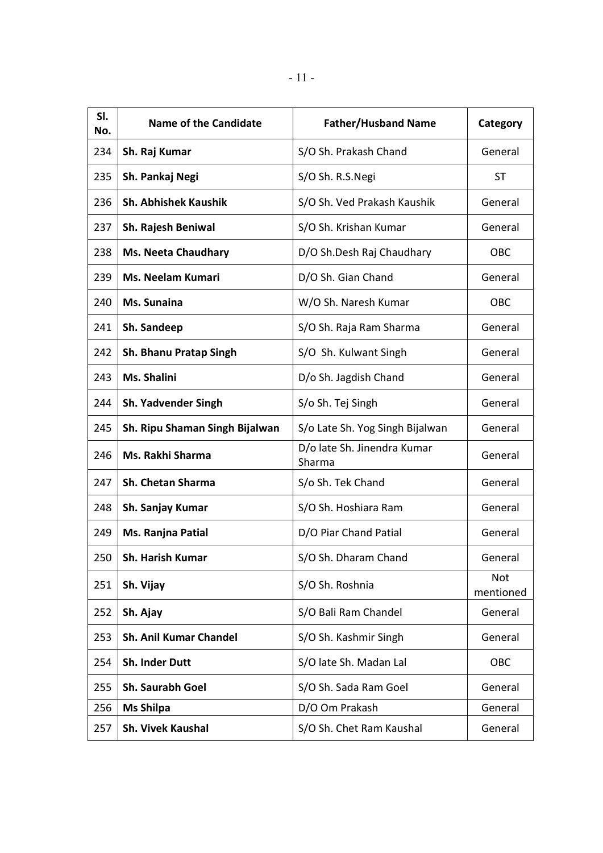| SI.<br>No. | <b>Name of the Candidate</b>   | <b>Father/Husband Name</b>            | Category         |
|------------|--------------------------------|---------------------------------------|------------------|
| 234        | Sh. Raj Kumar                  | S/O Sh. Prakash Chand                 | General          |
| 235        | Sh. Pankaj Negi                | S/O Sh. R.S.Negi                      | <b>ST</b>        |
| 236        | <b>Sh. Abhishek Kaushik</b>    | S/O Sh. Ved Prakash Kaushik           | General          |
| 237        | Sh. Rajesh Beniwal             | S/O Sh. Krishan Kumar                 | General          |
| 238        | <b>Ms. Neeta Chaudhary</b>     | D/O Sh.Desh Raj Chaudhary             | OBC              |
| 239        | <b>Ms. Neelam Kumari</b>       | D/O Sh. Gian Chand                    | General          |
| 240        | Ms. Sunaina                    | W/O Sh. Naresh Kumar                  | <b>OBC</b>       |
| 241        | Sh. Sandeep                    | S/O Sh. Raja Ram Sharma               | General          |
| 242        | <b>Sh. Bhanu Pratap Singh</b>  | S/O Sh. Kulwant Singh                 | General          |
| 243        | Ms. Shalini                    | D/o Sh. Jagdish Chand                 | General          |
| 244        | <b>Sh. Yadvender Singh</b>     | S/o Sh. Tej Singh                     | General          |
| 245        | Sh. Ripu Shaman Singh Bijalwan | S/o Late Sh. Yog Singh Bijalwan       | General          |
| 246        | Ms. Rakhi Sharma               | D/o late Sh. Jinendra Kumar<br>Sharma | General          |
| 247        | <b>Sh. Chetan Sharma</b>       | S/o Sh. Tek Chand                     | General          |
| 248        | Sh. Sanjay Kumar               | S/O Sh. Hoshiara Ram                  | General          |
| 249        | Ms. Ranjna Patial              | D/O Piar Chand Patial                 | General          |
| 250        | Sh. Harish Kumar               | S/O Sh. Dharam Chand                  | General          |
| 251        | Sh. Vijay                      | S/O Sh. Roshnia                       | Not<br>mentioned |
| 252        | Sh. Ajay                       | S/O Bali Ram Chandel                  | General          |
| 253        | <b>Sh. Anil Kumar Chandel</b>  | S/O Sh. Kashmir Singh                 | General          |
| 254        | Sh. Inder Dutt                 | S/O late Sh. Madan Lal                | OBC              |
| 255        | Sh. Saurabh Goel               | S/O Sh. Sada Ram Goel                 | General          |
| 256        | <b>Ms Shilpa</b>               | D/O Om Prakash                        | General          |
| 257        | Sh. Vivek Kaushal              | S/O Sh. Chet Ram Kaushal              | General          |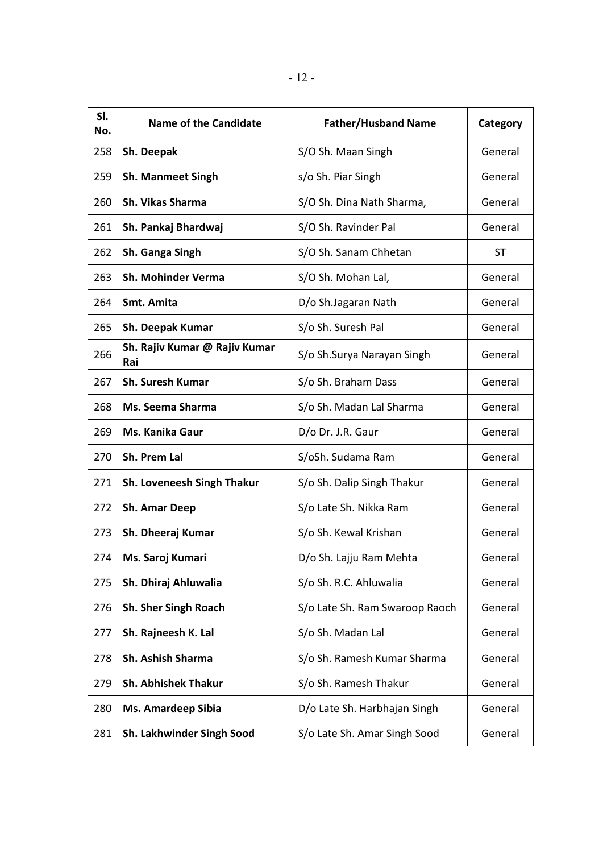| SI.<br>No. | <b>Name of the Candidate</b>         | <b>Father/Husband Name</b>     | Category  |
|------------|--------------------------------------|--------------------------------|-----------|
| 258        | Sh. Deepak                           | S/O Sh. Maan Singh             | General   |
| 259        | <b>Sh. Manmeet Singh</b>             | s/o Sh. Piar Singh             | General   |
| 260        | Sh. Vikas Sharma                     | S/O Sh. Dina Nath Sharma,      | General   |
| 261        | Sh. Pankaj Bhardwaj                  | S/O Sh. Ravinder Pal           | General   |
| 262        | Sh. Ganga Singh                      | S/O Sh. Sanam Chhetan          | <b>ST</b> |
| 263        | Sh. Mohinder Verma                   | S/O Sh. Mohan Lal,             | General   |
| 264        | Smt. Amita                           | D/o Sh.Jagaran Nath            | General   |
| 265        | Sh. Deepak Kumar                     | S/o Sh. Suresh Pal             | General   |
| 266        | Sh. Rajiv Kumar @ Rajiv Kumar<br>Rai | S/o Sh.Surya Narayan Singh     | General   |
| 267        | <b>Sh. Suresh Kumar</b>              | S/o Sh. Braham Dass            | General   |
| 268        | Ms. Seema Sharma                     | S/o Sh. Madan Lal Sharma       | General   |
| 269        | Ms. Kanika Gaur                      | D/o Dr. J.R. Gaur              | General   |
| 270        | Sh. Prem Lal                         | S/oSh. Sudama Ram              | General   |
| 271        | Sh. Loveneesh Singh Thakur           | S/o Sh. Dalip Singh Thakur     | General   |
| 272        | <b>Sh. Amar Deep</b>                 | S/o Late Sh. Nikka Ram         | General   |
| 273        | Sh. Dheeraj Kumar                    | S/o Sh. Kewal Krishan          | General   |
| 274        | Ms. Saroj Kumari                     | D/o Sh. Lajju Ram Mehta        | General   |
| 275        | Sh. Dhiraj Ahluwalia                 | S/o Sh. R.C. Ahluwalia         | General   |
| 276        | Sh. Sher Singh Roach                 | S/o Late Sh. Ram Swaroop Raoch | General   |
| 277        | Sh. Rajneesh K. Lal                  | S/o Sh. Madan Lal              | General   |
| 278        | Sh. Ashish Sharma                    | S/o Sh. Ramesh Kumar Sharma    | General   |
| 279        | <b>Sh. Abhishek Thakur</b>           | S/o Sh. Ramesh Thakur          | General   |
| 280        | <b>Ms. Amardeep Sibia</b>            | D/o Late Sh. Harbhajan Singh   | General   |
| 281        | Sh. Lakhwinder Singh Sood            | S/o Late Sh. Amar Singh Sood   | General   |